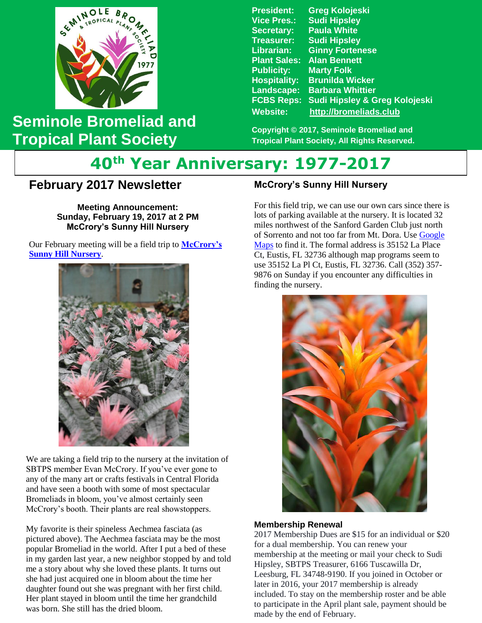

## **Seminole Bromeliad and Tropical Plant Society**

**President: Greg Kolojeski Vice Pres.: Sudi Hipsley Secretary: Paula White Treasurer: Sudi Hipsley Librarian: Ginny Fortenese Plant Sales: Alan Bennett Publicity: Marty Folk Hospitality: Brunilda Wicker Landscape: Barbara Whittier FCBS Reps: Sudi Hipsley & Greg Kolojeski Website: [http://bromeliads.club](http://bromeliads.club/)**

**Copyright © 2017, Seminole Bromeliad and Tropical Plant Society, All Rights Reserved.**

# **40th Year Anniversary: 1977-2017**

## **February 2017 Newsletter**

 **Bill Haynes' Garden Stone Sunday, February 19, 2017 at 2 PM Meeting Announcement: McCrory's Sunny Hill Nursery**

 Our February meeting will be a field trip to **[McCrory's](http://www.mccrorysnursery.com/)  [Sunny Hill Nursery](http://www.mccrorysnursery.com/)**.



We are taking a field trip to the nursery at the invitation of SBTPS member Evan McCrory. If you've ever gone to any of the many art or crafts festivals in Central Florida and have seen a booth with some of most spectacular Bromeliads in bloom, you've almost certainly seen McCrory's booth. Their plants are real showstoppers.

My favorite is their spineless Aechmea fasciata (as pictured above). The Aechmea fasciata may be the most popular Bromeliad in the world. After I put a bed of these in my garden last year, a new neighbor stopped by and told me a story about why she loved these plants. It turns out she had just acquired one in bloom about the time her daughter found out she was pregnant with her first child. Her plant stayed in bloom until the time her grandchild was born. She still has the dried bloom.

### **McCrory's Sunny Hill Nursery**

For this field trip, we can use our own cars since there is lots of parking available at the nursery. It is located 32 miles northwest of the Sanford Garden Club just north of Sorrento and not too far from Mt. Dora. Use [Google](https://www.google.com/maps/place/35152+La+Pl+Ct,+Eustis,+FL+32736/@28.860353,-81.5677317,992m/data=!3m1!1e3!4m5!3m4!1s0x88e7a1242cb42937:0x249886e75aa3694f!8m2!3d28.860353!4d-81.565543!6m1!1e1) [Maps](https://www.google.com/maps/place/35152+La+Pl+Ct,+Eustis,+FL+32736/@28.860353,-81.5677317,992m/data=!3m1!1e3!4m5!3m4!1s0x88e7a1242cb42937:0x249886e75aa3694f!8m2!3d28.860353!4d-81.565543!6m1!1e1) to find it. The formal address is 35152 La Place Ct, Eustis, FL 32736 although map programs seem to use 35152 La Pl Ct, Eustis, FL 32736. Call (352) 357- 9876 on Sunday if you encounter any difficulties in finding the nursery.



#### **Membership Renewal**

2017 Membership Dues are \$15 for an individual or \$20 for a dual membership. You can renew your membership at the meeting or mail your check to Sudi Hipsley, SBTPS Treasurer, 6166 Tuscawilla Dr, Leesburg, FL 34748-9190. If you joined in October or later in 2016, your 2017 membership is already included. To stay on the membership roster and be able to participate in the April plant sale, payment should be made by the end of February.